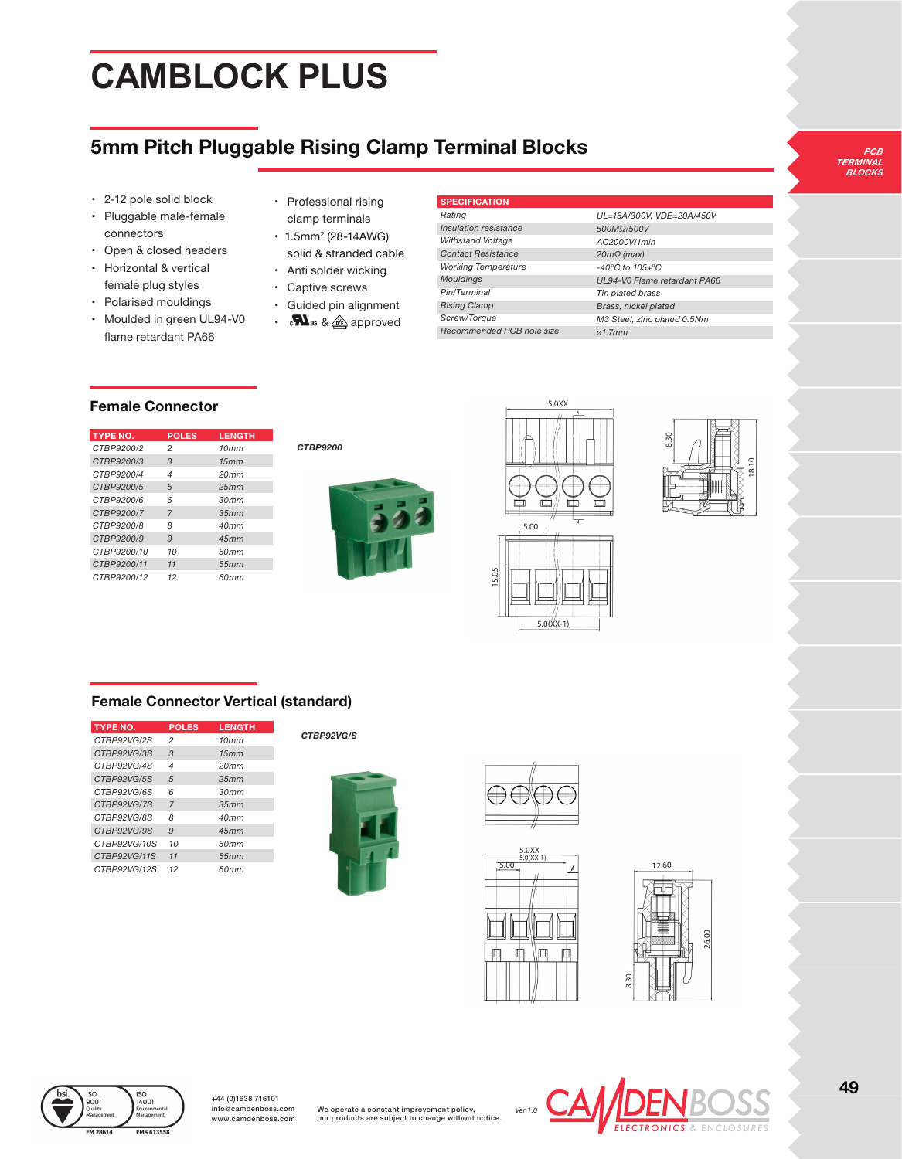# **CAMBLOCK PLUS**

# **5mm Pitch Pluggable Rising Clamp Terminal Blocks**

- 2-12 pole solid block
- Pluggable male-female connectors
- Open & closed headers
- Horizontal & vertical female plug styles
- Polarised mouldings
- Moulded in green UL94-V0 flame retardant PA66
- Professional rising clamp terminals
- 1.5mm<sup>2</sup> (28-14AWG) solid & stranded cable
- Anti solder wicking
- Captive screws
- Guided pin alignment
- $\mathbf{W}_{\text{us}}$  &  $\textcircled{a}$  approved

#### **SPECIFICATION**

| Ratina                     | UL              |
|----------------------------|-----------------|
| Insulation resistance      | 50              |
| <b>Withstand Voltage</b>   | AC              |
| <b>Contact Resistance</b>  | 20 <sub>l</sub> |
| <b>Working Temperature</b> | -40             |
| <b>Mouldings</b>           | UL              |
| Pin/Terminal               | Tir             |
| <b>Rising Clamp</b>        | <b>Br</b>       |
| Screw/Torque               | МS              |
| Recommended PCB hole size  | ø1.             |

*UL=15A/300V, VDE=20A/450V 500MΩ/500V AC2000V/1min mΩ (max) -40°C to 105+°C UL94-V0 Flame retardant PA66*  $plated$  brass *Brass, nickel plated M3 Steel, zinc plated 0.5Nm ø1.7mm*

*PCB TERMINAL BLOCKS*

### **Female Connector**

| <b>TYPE NO.</b> | <b>POLES</b>             | <b>LENGTH</b> |
|-----------------|--------------------------|---------------|
| CTBP9200/2      | 2                        | 10mm          |
| CTBP9200/3      | 3                        | 15mm          |
| CTBP9200/4      | $\overline{\mathcal{A}}$ | 20mm          |
| CTBP9200/5      | 5                        | 25mm          |
| CTBP9200/6      | 6                        | 30mm          |
| CTBP9200/7      | $\overline{7}$           | 35mm          |
| CTBP9200/8      | 8                        | 40mm          |
| CTBP9200/9      | 9                        | 45mm          |
| CTBP9200/10     | 10                       | 50mm          |
| CTBP9200/11     | 11                       | 55mm          |
| CTBP9200/12     | 12                       | 60mm          |







5.0(XX-1)



## **Female Connector Vertical (standard)**

| <b>TYPE NO.</b> | <b>POLES</b>   | <b>LENGTH</b> |
|-----------------|----------------|---------------|
| CTBP92VG/2S     | 2              | 10mm          |
| CTBP92VG/3S     | 3              | 15mm          |
| CTBP92VG/4S     | 4              | 20mm          |
| CTBP92VG/5S     | 5              | 25mm          |
| CTBP92VG/6S     | 6              | 30mm          |
| CTBP92VG/7S     | $\overline{7}$ | 35mm          |
| CTBP92VG/8S     | 8              | 40mm          |
| CTBP92VG/9S     | $\mathbf{Q}$   | 45mm          |
| CTBP92VG/10S    | 10             | 50mm          |
| CTBP92VG/11S    | 11             | 55mm          |
| CTRP92VG/12S    | 12             | 60mm          |

#### *CTBP92VG/S*









iso<br>14001

+44 (0)1638 716101 info@camdenboss.com www.camdenboss.com

We operate a constant improvement policy, our products are subject to change without notice.

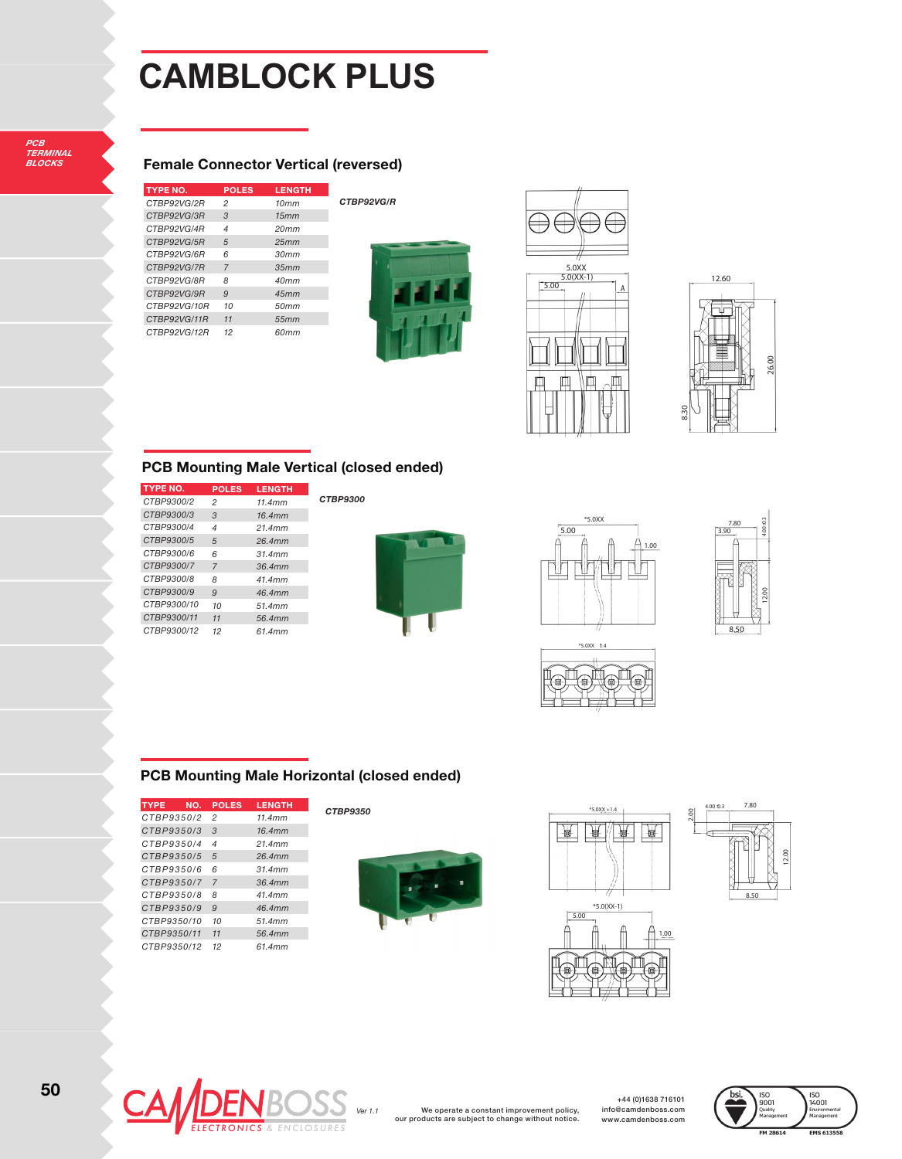# **CAMBLOCK PLUS**

### **Female Connector Vertical (reversed)**

| <b>TYPE NO.</b> | <b>POLES</b> | <b>LENGTH</b> |
|-----------------|--------------|---------------|
| CTBP92VG/2R     | 2            | 10mm          |
| CTBP92VG/3R     | 3            | 15mm          |
| CTBP92VG/4R     | 4            | 20mm          |
| CTBP92VG/5R     | 5            | 25mm          |
| CTBP92VG/6R     | 6            | 30mm          |
| CTBP92VG/7R     | 7            | 35mm          |
| CTBP92VG/8R     | 8            | 40mm          |
| CTBP92VG/9R     | 9            | 45mm          |
| CTBP92VG/10R    | 10           | 50mm          |
| CTBP92VG/11R    | 11           | 55mm          |
| CTBP92VG/12R    | 12           | 60mm          |

*CTBP92VG/R*







#### **PCB Mounting Male Vertical (closed ended)**

| <b>TYPE NO.</b> | <b>POLES</b>   | <b>LENGTH</b> |
|-----------------|----------------|---------------|
| CTBP9300/2      | 2              | 11.4mm        |
| CTBP9300/3      | 3              | 16.4mm        |
| CTBP9300/4      | $\overline{4}$ | 21.4mm        |
| CTBP9300/5      | 5              | 26.4mm        |
| CTBP9300/6      | 6              | 31.4mm        |
| CTBP9300/7      | $\overline{7}$ | 36.4mm        |
| CTBP9300/8      | 8              | 41 4mm        |
| CTBP9300/9      | 9              | 46 4mm        |
| CTBP9300/10     | 10             | 51 4mm        |
| CTBP9300/11     | 11             | 56.4mm        |
| CTBP9300/12     | 12             | 61 4mm        |

*CTBP9300*









### **PCB Mounting Male Horizontal (closed ended)**

| <b>TYPE</b><br>NO. | <b>POLES</b>   | <b>LENGTH</b> |
|--------------------|----------------|---------------|
| CTBP9350/2         | 2              | 11 4mm        |
| CTBP9350/3         | 3              | 16.4mm        |
| CTBP9350/4         | 4              | 21 4mm        |
| CTBP9350/5         | 5              | 26.4mm        |
| CTBP9350/6         | 6              | 31 4mm        |
| CTBP9350/7         | $\overline{7}$ | 36.4mm        |
| CTBP9350/8         | R              | 41 4mm        |
| CTBP9350/9         | 9              | 46.4mm        |
| CTBP9350/10        | 10             | 51 4mm        |
| CTBP9350/11        | 11             | 56.4mm        |
| CTRP9350/12        | 12             | 61 4mm        |

#### *CTBP9350*









We operate a constant improvement policy, our products are subject to change without notice.

+44 (0)1638 716101 info@camdenboss.com www.camdenboss.com